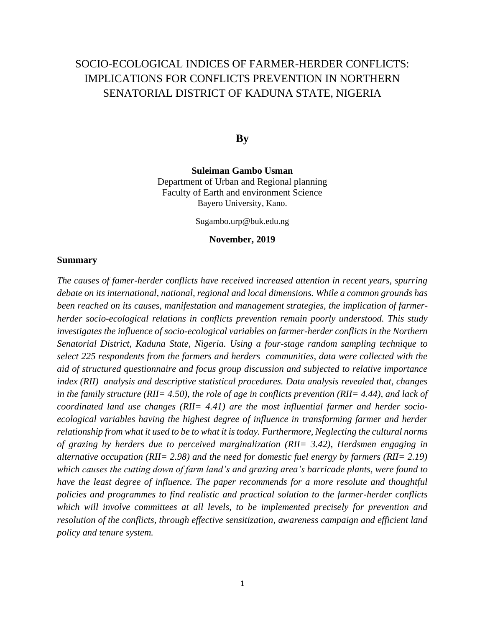# SOCIO-ECOLOGICAL INDICES OF FARMER-HERDER CONFLICTS: IMPLICATIONS FOR CONFLICTS PREVENTION IN NORTHERN SENATORIAL DISTRICT OF KADUNA STATE, NIGERIA

**By**

**Suleiman Gambo Usman** Department of Urban and Regional planning Faculty of Earth and environment Science Bayero University, Kano.

Sugambo.urp@buk.edu.ng

#### **November, 2019**

#### **Summary**

*The causes of famer-herder conflicts have received increased attention in recent years, spurring debate on its international, national, regional and local dimensions. While a common grounds has been reached on its causes, manifestation and management strategies, the implication of farmerherder socio-ecological relations in conflicts prevention remain poorly understood. This study investigates the influence of socio-ecological variables on farmer-herder conflicts in the Northern Senatorial District, Kaduna State, Nigeria. Using a four-stage random sampling technique to select 225 respondents from the farmers and herders communities, data were collected with the aid of structured questionnaire and focus group discussion and subjected to relative importance index (RII) analysis and descriptive statistical procedures. Data analysis revealed that, changes in the family structure (RII= 4.50), the role of age in conflicts prevention (RII= 4.44), and lack of coordinated land use changes (RII= 4.41) are the most influential farmer and herder socioecological variables having the highest degree of influence in transforming farmer and herder relationship from what it used to be to what it is today. Furthermore, Neglecting the cultural norms of grazing by herders due to perceived marginalization (RII= 3.42), Herdsmen engaging in alternative occupation (RII= 2.98) and the need for domestic fuel energy by farmers (RII= 2.19) which causes the cutting down of farm land's and grazing area's barricade plants, were found to have the least degree of influence. The paper recommends for a more resolute and thoughtful policies and programmes to find realistic and practical solution to the farmer-herder conflicts which will involve committees at all levels, to be implemented precisely for prevention and resolution of the conflicts, through effective sensitization, awareness campaign and efficient land policy and tenure system.*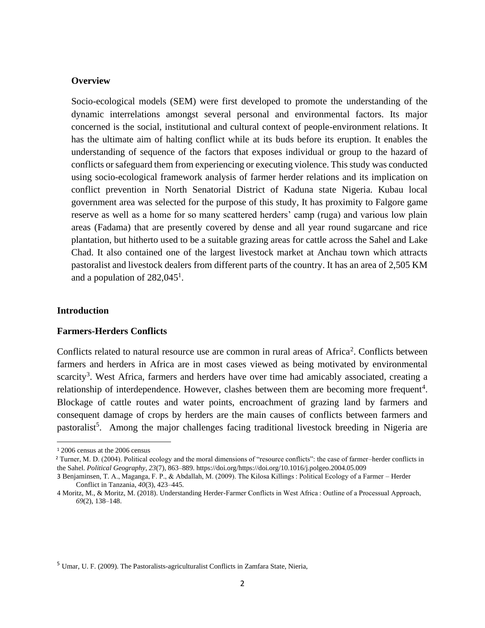### **Overview**

Socio-ecological models (SEM) were first developed to promote the understanding of the dynamic interrelations amongst several personal and environmental factors. Its major concerned is the social, institutional and cultural context of people-environment relations. It has the ultimate aim of halting conflict while at its buds before its eruption. It enables the understanding of sequence of the factors that exposes individual or group to the hazard of conflicts or safeguard them from experiencing or executing violence. This study was conducted using socio-ecological framework analysis of farmer herder relations and its implication on conflict prevention in North Senatorial District of Kaduna state Nigeria. Kubau local government area was selected for the purpose of this study, It has proximity to Falgore game reserve as well as a home for so many scattered herders' camp (ruga) and various low plain areas (Fadama) that are presently covered by dense and all year round sugarcane and rice plantation, but hitherto used to be a suitable grazing areas for cattle across the Sahel and Lake Chad. It also contained one of the largest livestock market at Anchau town which attracts pastoralist and livestock dealers from different parts of the country. It has an area of 2,505 KM and a population of  $282,045^1$ .

### **Introduction**

#### **Farmers-Herders Conflicts**

Conflicts related to natural resource use are common in rural areas of Africa<sup>2</sup>. Conflicts between farmers and herders in Africa are in most cases viewed as being motivated by environmental scarcity<sup>3</sup>. West Africa, farmers and herders have over time had amicably associated, creating a relationship of interdependence. However, clashes between them are becoming more frequent<sup>4</sup>. Blockage of cattle routes and water points, encroachment of grazing land by farmers and consequent damage of crops by herders are the main causes of conflicts between farmers and pastoralist<sup>5</sup>. Among the major challenges facing traditional livestock breeding in Nigeria are

<sup>5</sup> Umar, U. F. (2009). The Pastoralists-agriculturalist Conflicts in Zamfara State, Nieria,

<sup>1</sup> 2006 census at the 2006 census

<sup>2</sup> Turner, M. D. (2004). Political ecology and the moral dimensions of "resource conflicts": the case of farmer–herder conflicts in the Sahel. *Political Geography*, *23*(7), 863–889. https://doi.org/https://doi.org/10.1016/j.polgeo.2004.05.009

<sup>3</sup> Benjaminsen, T. A., Maganga, F. P., & Abdallah, M. (2009). The Kilosa Killings : Political Ecology of a Farmer – Herder Conflict in Tanzania, *40*(3), 423–445.

<sup>4</sup> Moritz, M., & Moritz, M. (2018). Understanding Herder-Farmer Conflicts in West Africa : Outline of a Processual Approach, *69*(2), 138–148.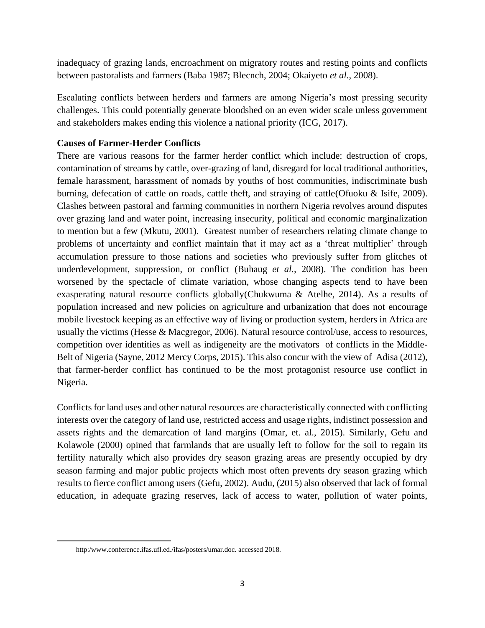inadequacy of grazing lands, encroachment on migratory routes and resting points and conflicts between pastoralists and farmers (Baba 1987; Blecnch, 2004; Okaiyeto *et al.*, 2008).

Escalating conflicts between herders and farmers are among Nigeria's most pressing security challenges. This could potentially generate bloodshed on an even wider scale unless government and stakeholders makes ending this violence a national priority (ICG, 2017).

# **Causes of Farmer-Herder Conflicts**

There are various reasons for the farmer herder conflict which include: destruction of crops, contamination of streams by cattle, over-grazing of land, disregard for local traditional authorities, female harassment, harassment of nomads by youths of host communities, indiscriminate bush burning, defecation of cattle on roads, cattle theft, and straying of cattle(Ofuoku & Isife, 2009). Clashes between pastoral and farming communities in northern Nigeria revolves around disputes over grazing land and water point, increasing insecurity, political and economic marginalization to mention but a few (Mkutu, 2001). Greatest number of researchers relating climate change to problems of uncertainty and conflict maintain that it may act as a 'threat multiplier' through accumulation pressure to those nations and societies who previously suffer from glitches of underdevelopment, suppression, or conflict (Buhaug *et al.,* 2008). The condition has been worsened by the spectacle of climate variation, whose changing aspects tend to have been exasperating natural resource conflicts globally(Chukwuma & Atelhe, 2014). As a results of population increased and new policies on agriculture and urbanization that does not encourage mobile livestock keeping as an effective way of living or production system, herders in Africa are usually the victims (Hesse & Macgregor, 2006). Natural resource control/use, access to resources, competition over identities as well as indigeneity are the motivators of conflicts in the Middle-Belt of Nigeria (Sayne, 2012 Mercy Corps, 2015). This also concur with the view of Adisa (2012), that farmer-herder conflict has continued to be the most protagonist resource use conflict in Nigeria.

Conflicts for land uses and other natural resources are characteristically connected with conflicting interests over the category of land use, restricted access and usage rights, indistinct possession and assets rights and the demarcation of land margins (Omar, et. al., 2015). Similarly, Gefu and Kolawole (2000) opined that farmlands that are usually left to follow for the soil to regain its fertility naturally which also provides dry season grazing areas are presently occupied by dry season farming and major public projects which most often prevents dry season grazing which results to fierce conflict among users (Gefu, 2002). Audu, (2015) also observed that lack of formal education, in adequate grazing reserves, lack of access to water, pollution of water points,

http:/www.conference.ifas.ufl.ed./ifas/posters/umar.doc. accessed 2018.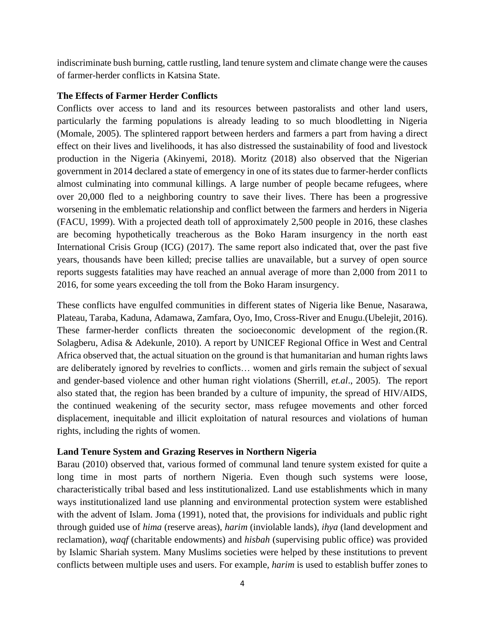indiscriminate bush burning, cattle rustling, land tenure system and climate change were the causes of farmer-herder conflicts in Katsina State.

### **The Effects of Farmer Herder Conflicts**

Conflicts over access to land and its resources between pastoralists and other land users, particularly the farming populations is already leading to so much bloodletting in Nigeria (Momale, 2005). The splintered rapport between herders and farmers a part from having a direct effect on their lives and livelihoods, it has also distressed the sustainability of food and livestock production in the Nigeria (Akinyemi, 2018). Moritz (2018) also observed that the Nigerian government in 2014 declared a state of emergency in one of its states due to farmer-herder conflicts almost culminating into communal killings. A large number of people became refugees, where over 20,000 fled to a neighboring country to save their lives. There has been a progressive worsening in the emblematic relationship and conflict between the farmers and herders in Nigeria (FACU, 1999). With a projected death toll of approximately 2,500 people in 2016, these clashes are becoming hypothetically treacherous as the Boko Haram insurgency in the north east International Crisis Group (ICG) (2017). The same report also indicated that, over the past five years, thousands have been killed; precise tallies are unavailable, but a survey of open source reports suggests fatalities may have reached an annual average of more than 2,000 from 2011 to 2016, for some years exceeding the toll from the Boko Haram insurgency.

These conflicts have engulfed communities in different states of Nigeria like Benue, Nasarawa, Plateau, Taraba, Kaduna, Adamawa, Zamfara, Oyo, Imo, Cross-River and Enugu.(Ubelejit, 2016). These farmer-herder conflicts threaten the socioeconomic development of the region.(R. Solagberu, Adisa & Adekunle, 2010). A report by UNICEF Regional Office in West and Central Africa observed that, the actual situation on the ground is that humanitarian and human rights laws are deliberately ignored by revelries to conflicts… women and girls remain the subject of sexual and gender-based violence and other human right violations (Sherrill, *et.al*., 2005). The report also stated that, the region has been branded by a culture of impunity, the spread of HIV/AIDS, the continued weakening of the security sector, mass refugee movements and other forced displacement, inequitable and illicit exploitation of natural resources and violations of human rights, including the rights of women.

# **Land Tenure System and Grazing Reserves in Northern Nigeria**

Barau (2010) observed that, various formed of communal land tenure system existed for quite a long time in most parts of northern Nigeria. Even though such systems were loose, characteristically tribal based and less institutionalized. Land use establishments which in many ways institutionalized land use planning and environmental protection system were established with the advent of Islam. Joma (1991), noted that, the provisions for individuals and public right through guided use of *hima* (reserve areas), *harim* (inviolable lands), *ihya* (land development and reclamation), *waqf* (charitable endowments) and *hisbah* (supervising public office) was provided by Islamic Shariah system. Many Muslims societies were helped by these institutions to prevent conflicts between multiple uses and users. For example, *harim* is used to establish buffer zones to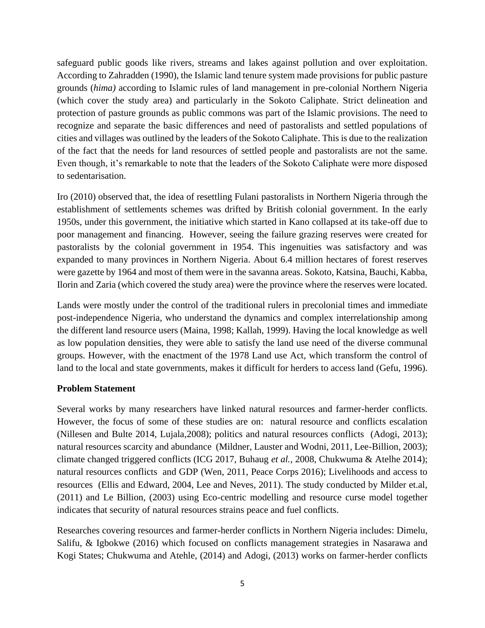safeguard public goods like rivers, streams and lakes against pollution and over exploitation. According to Zahradden (1990), the Islamic land tenure system made provisions for public pasture grounds (*hima)* according to Islamic rules of land management in pre-colonial Northern Nigeria (which cover the study area) and particularly in the Sokoto Caliphate. Strict delineation and protection of pasture grounds as public commons was part of the Islamic provisions. The need to recognize and separate the basic differences and need of pastoralists and settled populations of cities and villages was outlined by the leaders of the Sokoto Caliphate. This is due to the realization of the fact that the needs for land resources of settled people and pastoralists are not the same. Even though, it's remarkable to note that the leaders of the Sokoto Caliphate were more disposed to sedentarisation.

Iro (2010) observed that, the idea of resettling Fulani pastoralists in Northern Nigeria through the establishment of settlements schemes was drifted by British colonial government. In the early 1950s, under this government, the initiative which started in Kano collapsed at its take-off due to poor management and financing. However, seeing the failure grazing reserves were created for pastoralists by the colonial government in 1954. This ingenuities was satisfactory and was expanded to many provinces in Northern Nigeria. About 6.4 million hectares of forest reserves were gazette by 1964 and most of them were in the savanna areas. Sokoto, Katsina, Bauchi, Kabba, Ilorin and Zaria (which covered the study area) were the province where the reserves were located.

Lands were mostly under the control of the traditional rulers in precolonial times and immediate post-independence Nigeria, who understand the dynamics and complex interrelationship among the different land resource users (Maina, 1998; Kallah, 1999). Having the local knowledge as well as low population densities, they were able to satisfy the land use need of the diverse communal groups. However, with the enactment of the 1978 Land use Act, which transform the control of land to the local and state governments, makes it difficult for herders to access land (Gefu, 1996).

# **Problem Statement**

Several works by many researchers have linked natural resources and farmer-herder conflicts. However, the focus of some of these studies are on: natural resource and conflicts escalation (Nillesen and Bulte 2014, Lujala,2008); politics and natural resources conflicts (Adogi, 2013); natural resources scarcity and abundance (Mildner, Lauster and Wodni, 2011, Lee-Billion, 2003); climate changed triggered conflicts (ICG 2017, Buhaug *et al.*, 2008, Chukwuma & Atelhe 2014); natural resources conflicts and GDP (Wen, 2011, Peace Corps 2016); Livelihoods and access to resources (Ellis and Edward, 2004, Lee and Neves, 2011). The study conducted by Milder et.al, (2011) and Le Billion, (2003) using Eco-centric modelling and resource curse model together indicates that security of natural resources strains peace and fuel conflicts.

Researches covering resources and farmer-herder conflicts in Northern Nigeria includes: Dimelu, Salifu, & Igbokwe (2016) which focused on conflicts management strategies in Nasarawa and Kogi States; Chukwuma and Atehle, (2014) and Adogi, (2013) works on farmer-herder conflicts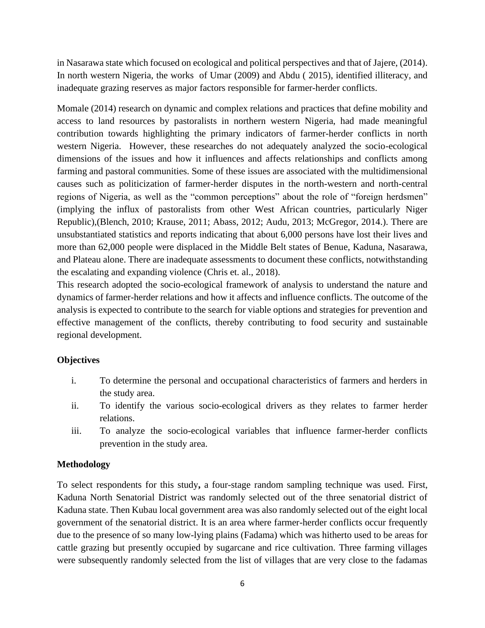in Nasarawa state which focused on ecological and political perspectives and that of Jajere, (2014). In north western Nigeria, the works of Umar (2009) and Abdu ( 2015), identified illiteracy, and inadequate grazing reserves as major factors responsible for farmer-herder conflicts.

Momale (2014) research on dynamic and complex relations and practices that define mobility and access to land resources by pastoralists in northern western Nigeria, had made meaningful contribution towards highlighting the primary indicators of farmer-herder conflicts in north western Nigeria. However, these researches do not adequately analyzed the socio-ecological dimensions of the issues and how it influences and affects relationships and conflicts among farming and pastoral communities. Some of these issues are associated with the multidimensional causes such as politicization of farmer-herder disputes in the north-western and north-central regions of Nigeria, as well as the "common perceptions" about the role of "foreign herdsmen" (implying the influx of pastoralists from other West African countries, particularly Niger Republic),(Blench, 2010; Krause, 2011; Abass, 2012; Audu, 2013; McGregor, 2014.). There are unsubstantiated statistics and reports indicating that about 6,000 persons have lost their lives and more than 62,000 people were displaced in the Middle Belt states of Benue, Kaduna, Nasarawa, and Plateau alone. There are inadequate assessments to document these conflicts, notwithstanding the escalating and expanding violence (Chris et. al., 2018).

This research adopted the socio-ecological framework of analysis to understand the nature and dynamics of farmer-herder relations and how it affects and influence conflicts. The outcome of the analysis is expected to contribute to the search for viable options and strategies for prevention and effective management of the conflicts, thereby contributing to food security and sustainable regional development.

# **Objectives**

- i. To determine the personal and occupational characteristics of farmers and herders in the study area.
- ii. To identify the various socio-ecological drivers as they relates to farmer herder relations.
- iii. To analyze the socio-ecological variables that influence farmer-herder conflicts prevention in the study area.

# **Methodology**

To select respondents for this study**,** a four-stage random sampling technique was used. First, Kaduna North Senatorial District was randomly selected out of the three senatorial district of Kaduna state. Then Kubau local government area was also randomly selected out of the eight local government of the senatorial district. It is an area where farmer-herder conflicts occur frequently due to the presence of so many low-lying plains (Fadama) which was hitherto used to be areas for cattle grazing but presently occupied by sugarcane and rice cultivation. Three farming villages were subsequently randomly selected from the list of villages that are very close to the fadamas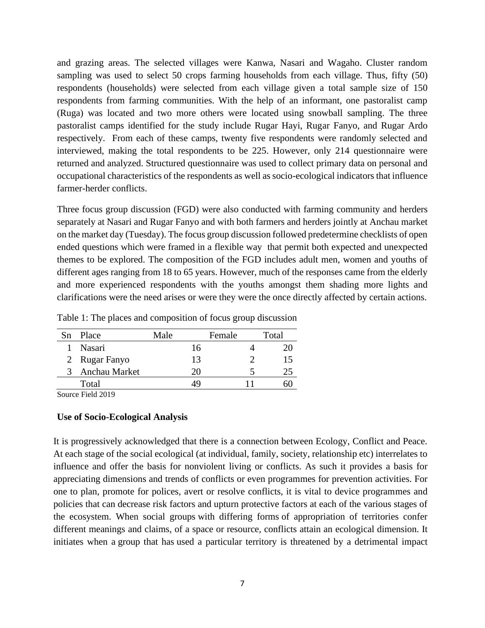and grazing areas. The selected villages were Kanwa, Nasari and Wagaho. Cluster random sampling was used to select 50 crops farming households from each village. Thus, fifty (50) respondents (households) were selected from each village given a total sample size of 150 respondents from farming communities. With the help of an informant, one pastoralist camp (Ruga) was located and two more others were located using snowball sampling. The three pastoralist camps identified for the study include Rugar Hayi, Rugar Fanyo, and Rugar Ardo respectively. From each of these camps, twenty five respondents were randomly selected and interviewed, making the total respondents to be 225. However, only 214 questionnaire were returned and analyzed. Structured questionnaire was used to collect primary data on personal and occupational characteristics of the respondents as well as socio-ecological indicators that influence farmer-herder conflicts.

Three focus group discussion (FGD) were also conducted with farming community and herders separately at Nasari and Rugar Fanyo and with both farmers and herders jointly at Anchau market on the market day (Tuesday). The focus group discussion followed predetermine checklists of open ended questions which were framed in a flexible way that permit both expected and unexpected themes to be explored. The composition of the FGD includes adult men, women and youths of different ages ranging from 18 to 65 years. However, much of the responses came from the elderly and more experienced respondents with the youths amongst them shading more lights and clarifications were the need arises or were they were the once directly affected by certain actions.

| Table 1: The places and composition of focus group discussion |  |  |
|---------------------------------------------------------------|--|--|
|---------------------------------------------------------------|--|--|

| Sn | Place         | Male | Female | Total |
|----|---------------|------|--------|-------|
|    | Nasari        | 16   |        |       |
|    | 2 Rugar Fanyo | 13   |        | 15    |
|    | Anchau Market | 20   |        |       |
|    | Total         |      |        |       |

Source Field 2019

### **Use of Socio-Ecological Analysis**

It is progressively acknowledged that there is a connection between Ecology, Conflict and Peace. At each stage of the social ecological (at individual, family, society, relationship etc) interrelates to influence and offer the basis for nonviolent living or conflicts. As such it provides a basis for appreciating dimensions and trends of conflicts or even programmes for prevention activities. For one to plan, promote for polices, avert or resolve conflicts, it is vital to device programmes and policies that can decrease risk factors and upturn protective factors at each of the various stages of the ecosystem. When social groups with differing forms of appropriation of territories confer different meanings and claims, of a space or resource, conflicts attain an ecological dimension. It initiates when a group that has used a particular territory is threatened by a detrimental impact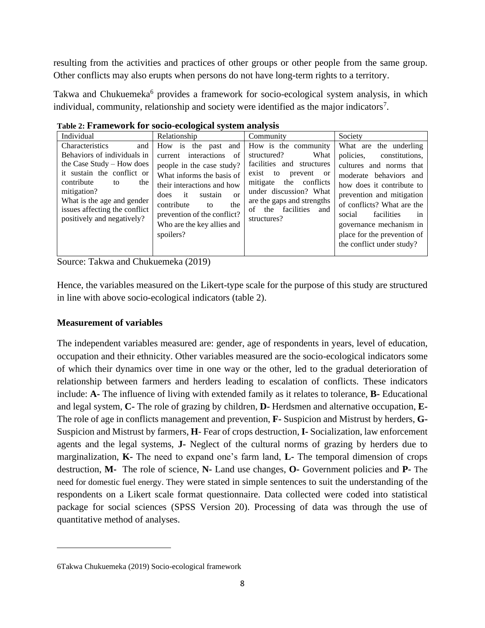resulting from the activities and practices of other groups or other people from the same group. Other conflicts may also erupts when persons do not have long-term rights to a territory.

Takwa and Chukuemeka<sup>6</sup> provides a framework for socio-ecological system analysis, in which individual, community, relationship and society were identified as the major indicators<sup>7</sup>.

|                                                                                                                                                                                                                                                         | Table 2: FTamework for socio-ecological system analysis                                                                                                                                                                                                                                             |                                                                                                                                                                                                                                                    |                                                                                                                                                                                                                                                                                                                         |
|---------------------------------------------------------------------------------------------------------------------------------------------------------------------------------------------------------------------------------------------------------|-----------------------------------------------------------------------------------------------------------------------------------------------------------------------------------------------------------------------------------------------------------------------------------------------------|----------------------------------------------------------------------------------------------------------------------------------------------------------------------------------------------------------------------------------------------------|-------------------------------------------------------------------------------------------------------------------------------------------------------------------------------------------------------------------------------------------------------------------------------------------------------------------------|
| Individual                                                                                                                                                                                                                                              | Relationship                                                                                                                                                                                                                                                                                        | Community                                                                                                                                                                                                                                          | Society                                                                                                                                                                                                                                                                                                                 |
| Characteristics<br>and<br>Behaviors of individuals in<br>the Case Study – How does<br>it sustain the conflict or<br>contribute<br>the<br>to<br>mitigation?<br>What is the age and gender<br>issues affecting the conflict<br>positively and negatively? | How is<br>the<br>and<br>past<br>interactions<br>of<br>current<br>people in the case study?<br>What informs the basis of<br>their interactions and how<br>does<br>$-$ it<br>sustain<br>$\alpha$<br>contribute<br>the<br>to<br>prevention of the conflict?<br>Who are the key allies and<br>spoilers? | How is the community<br>What<br>structured?<br>facilities and structures<br>exist to<br>prevent<br><b>or</b><br>the conflicts<br>mitigate<br>under discussion? What<br>are the gaps and strengths<br>facilities<br>of<br>the<br>and<br>structures? | What are the underling<br>policies.<br>constitutions.<br>cultures and norms that<br>moderate behaviors and<br>how does it contribute to<br>prevention and mitigation<br>of conflicts? What are the<br>facilities<br>social<br>1n<br>governance mechanism in<br>place for the prevention of<br>the conflict under study? |

**Table 2: Framework for socio-ecological system analysis**

Source: Takwa and Chukuemeka (2019)

Hence, the variables measured on the Likert-type scale for the purpose of this study are structured in line with above socio-ecological indicators (table 2).

# **Measurement of variables**

The independent variables measured are: gender, age of respondents in years, level of education, occupation and their ethnicity. Other variables measured are the socio-ecological indicators some of which their dynamics over time in one way or the other, led to the gradual deterioration of relationship between farmers and herders leading to escalation of conflicts. These indicators include: **A-** The influence of living with extended family as it relates to tolerance, **B-** Educational and legal system, **C-** The role of grazing by children, **D-** Herdsmen and alternative occupation, **E-**The role of age in conflicts management and prevention, **F-** Suspicion and Mistrust by herders, **G-**Suspicion and Mistrust by farmers, **H**- Fear of crops destruction, **I-** Socialization, law enforcement agents and the legal systems, **J-** Neglect of the cultural norms of grazing by herders due to marginalization, **K-** The need to expand one's farm land, **L-** The temporal dimension of crops destruction, **M-** The role of science, **N-** Land use changes, **O-** Government policies and **P-** The need for domestic fuel energy. They were stated in simple sentences to suit the understanding of the respondents on a Likert scale format questionnaire. Data collected were coded into statistical package for social sciences (SPSS Version 20). Processing of data was through the use of quantitative method of analyses.

<sup>6</sup>Takwa Chukuemeka (2019) Socio-ecological framework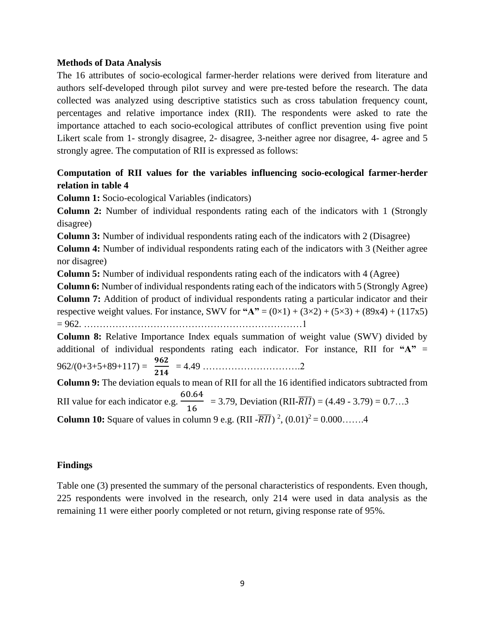### **Methods of Data Analysis**

The 16 attributes of socio-ecological farmer-herder relations were derived from literature and authors self-developed through pilot survey and were pre-tested before the research. The data collected was analyzed using descriptive statistics such as cross tabulation frequency count, percentages and relative importance index (RII). The respondents were asked to rate the importance attached to each socio-ecological attributes of conflict prevention using five point Likert scale from 1- strongly disagree, 2- disagree, 3-neither agree nor disagree, 4- agree and 5 strongly agree. The computation of RII is expressed as follows:

# **Computation of RII values for the variables influencing socio-ecological farmer-herder relation in table 4**

**Column 1:** Socio-ecological Variables (indicators)

**Column 2:** Number of individual respondents rating each of the indicators with 1 (Strongly disagree)

**Column 3:** Number of individual respondents rating each of the indicators with 2 (Disagree)

**Column 4:** Number of individual respondents rating each of the indicators with 3 (Neither agree nor disagree)

**Column 5:** Number of individual respondents rating each of the indicators with 4 (Agree)

**Column 6:** Number of individual respondents rating each of the indicators with 5 (Strongly Agree) **Column 7:** Addition of product of individual respondents rating a particular indicator and their respective weight values. For instance, SWV for  $4.7 = (0 \times 1) + (3 \times 2) + (5 \times 3) + (89 \times 4) + (117 \times 5)$ = 962. ……………………………………………………………1

**Column 8:** Relative Importance Index equals summation of weight value (SWV) divided by additional of individual respondents rating each indicator. For instance, RII for **"A"** =  $962/(0+3+5+89+117) = \frac{962}{311}$ = 4.49 ………………………….2

**Column 9:** The deviation equals to mean of RII for all the 16 identified indicators subtracted from RII value for each indicator e.g. 60.64  $\frac{6.64}{16}$  = 3.79, Deviation (RII- $\overline{RII}$ ) = (4.49 - 3.79) = 0.7...3 **Column 10:** Square of values in column 9 e.g. (RII  $\overline{RII}$ )<sup>2</sup>, (0.01)<sup>2</sup> = 0.000.......4

# **Findings**

Table one (3) presented the summary of the personal characteristics of respondents. Even though, 225 respondents were involved in the research, only 214 were used in data analysis as the remaining 11 were either poorly completed or not return, giving response rate of 95%.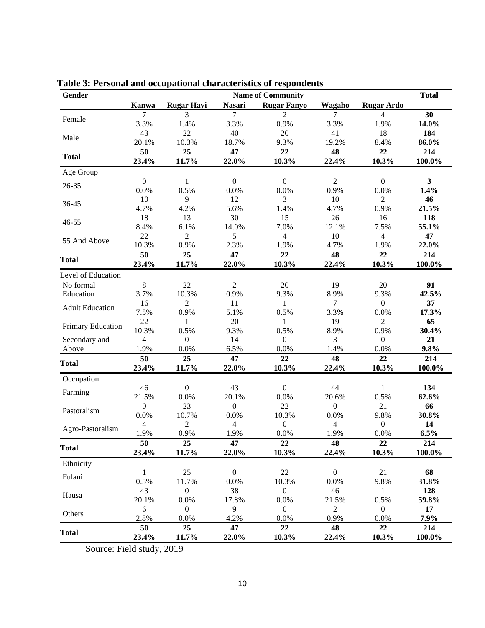| Gender                 | <b>Name of Community</b> |                   |                  |                    |                  |                   |                         |  |  |
|------------------------|--------------------------|-------------------|------------------|--------------------|------------------|-------------------|-------------------------|--|--|
|                        | Kanwa                    | <b>Rugar Hayi</b> | <b>Nasari</b>    | <b>Rugar Fanyo</b> | Wagaho           | <b>Rugar Ardo</b> |                         |  |  |
|                        | $\overline{7}$           | 3                 | $\tau$           | 2                  | 7                | 4                 | 30                      |  |  |
| Female                 | 3.3%                     | 1.4%              | 3.3%             | 0.9%               | 3.3%             | 1.9%              | 14.0%                   |  |  |
| Male                   | 43                       | 22                | 40               | 20                 | 41               | 18                | 184                     |  |  |
|                        | 20.1%                    | 10.3%             | 18.7%            | 9.3%               | 19.2%            | 8.4%              | 86.0%                   |  |  |
| <b>Total</b>           | 50                       | 25                | 47               | 22                 | 48               | 22                | 214                     |  |  |
|                        | 23.4%                    | 11.7%             | 22.0%            | 10.3%              | 22.4%            | 10.3%             | 100.0%                  |  |  |
| Age Group              |                          |                   |                  |                    |                  |                   |                         |  |  |
| 26-35                  | $\boldsymbol{0}$         | $\mathbf{1}$      | $\mathbf{0}$     | $\Omega$           | $\overline{2}$   | $\mathbf{0}$      | $\overline{\mathbf{3}}$ |  |  |
|                        | 0.0%                     | 0.5%              | 0.0%             | 0.0%               | 0.9%             | 0.0%              | 1.4%                    |  |  |
| 36-45                  | $10\,$                   | 9                 | 12               | 3                  | 10               | $\overline{2}$    | 46                      |  |  |
|                        | 4.7%                     | 4.2%              | 5.6%             | 1.4%               | 4.7%             | 0.9%              | 21.5%                   |  |  |
| $46 - 55$              | 18                       | 13                | 30               | 15                 | 26               | 16                | 118                     |  |  |
|                        | 8.4%                     | 6.1%              | 14.0%            | 7.0%               | 12.1%            | 7.5%              | 55.1%                   |  |  |
| 55 And Above           | 22                       | $\overline{c}$    | 5                | $\overline{4}$     | 10               | $\overline{4}$    | 47                      |  |  |
|                        | 10.3%                    | 0.9%              | 2.3%             | 1.9%               | 4.7%             | 1.9%              | 22.0%                   |  |  |
| <b>Total</b>           | 50                       | 25                | 47               | 22                 | 48               | 22                | 214                     |  |  |
|                        | 23.4%                    | 11.7%             | 22.0%            | 10.3%              | 22.4%            | 10.3%             | 100.0%                  |  |  |
| Level of Education     |                          |                   |                  |                    |                  |                   |                         |  |  |
| No formal              | $\overline{8}$           | 22                | $\overline{2}$   | 20                 | 19               | 20                | 91                      |  |  |
| Education              | 3.7%                     | 10.3%             | 0.9%             | 9.3%               | 8.9%             | 9.3%              | 42.5%                   |  |  |
| <b>Adult Education</b> | 16                       | $\overline{2}$    | 11               | $\mathbf{1}$       | $\overline{7}$   | $\overline{0}$    | 37                      |  |  |
|                        | 7.5%                     | 0.9%              | 5.1%             | 0.5%               | 3.3%             | 0.0%              | 17.3%                   |  |  |
| Primary Education      | 22                       | 1                 | 20               | 1                  | 19               | $\overline{2}$    | 65                      |  |  |
|                        | 10.3%                    | 0.5%              | 9.3%             | 0.5%               | 8.9%             | 0.9%              | 30.4%                   |  |  |
| Secondary and          | $\overline{4}$           | $\overline{0}$    | 14               | $\overline{0}$     | 3                | $\overline{0}$    | 21                      |  |  |
| Above                  | 1.9%                     | 0.0%              | 6.5%             | 0.0%               | 1.4%             | 0.0%              | 9.8%                    |  |  |
| <b>Total</b>           | 50                       | 25                | 47               | 22                 | 48               | 22                | 214                     |  |  |
|                        | 23.4%                    | 11.7%             | 22.0%            | 10.3%              | 22.4%            | 10.3%             | 100.0%                  |  |  |
| Occupation             |                          |                   |                  |                    |                  |                   |                         |  |  |
| Farming                | 46                       | $\boldsymbol{0}$  | 43               | $\boldsymbol{0}$   | 44               | 1                 | 134                     |  |  |
|                        | 21.5%                    | 0.0%              | 20.1%            | 0.0%               | 20.6%            | 0.5%              | 62.6%                   |  |  |
| Pastoralism            | $\boldsymbol{0}$         | 23                | $\boldsymbol{0}$ | 22                 | $\boldsymbol{0}$ | 21                | 66                      |  |  |
|                        | 0.0%                     | 10.7%             | 0.0%             | 10.3%              | 0.0%             | 9.8%              | 30.8%                   |  |  |
| Agro-Pastoralism       | $\overline{4}$           | $\overline{c}$    | 4                | $\boldsymbol{0}$   | $\overline{4}$   | $\boldsymbol{0}$  | 14                      |  |  |
|                        | 1.9%                     | 0.9%              | 1.9%             | 0.0%               | 1.9%             | 0.0%              | 6.5%                    |  |  |
| <b>Total</b>           | 50                       | 25                | 47               | 22                 | 48               | 22                | 214                     |  |  |
|                        | 23.4%                    | 11.7%             | 22.0%            | 10.3%              | 22.4%            | 10.3%             | 100.0%                  |  |  |
| Ethnicity              |                          |                   |                  |                    |                  |                   |                         |  |  |
| Fulani                 | $\mathbf{1}$             | 25                | $\boldsymbol{0}$ | 22                 | $\boldsymbol{0}$ | 21                | 68                      |  |  |
|                        | 0.5%                     | 11.7%             | 0.0%             | 10.3%              | 0.0%             | 9.8%              | 31.8%                   |  |  |
| Hausa                  | 43                       | $\boldsymbol{0}$  | 38               | $\overline{0}$     | 46               | $\mathbf{1}$      | 128                     |  |  |
|                        | 20.1%                    | 0.0%              | 17.8%            | 0.0%               | 21.5%            | 0.5%              | 59.8%                   |  |  |
| Others                 | $\sqrt{6}$               | $\boldsymbol{0}$  | 9                | $\overline{0}$     | $\overline{2}$   | $\overline{0}$    | 17                      |  |  |
|                        | 2.8%                     | 0.0%              | 4.2%             | 0.0%               | 0.9%             | 0.0%              | 7.9%                    |  |  |
| <b>Total</b>           | 50                       | 25                | 47               | 22                 | 48               | 22                | 214                     |  |  |
|                        | 23.4%                    | 11.7%             | 22.0%            | 10.3%              | 22.4%            | 10.3%             | $100.0\%$               |  |  |

**Table 3: Personal and occupational characteristics of respondents**

Source: Field study, 2019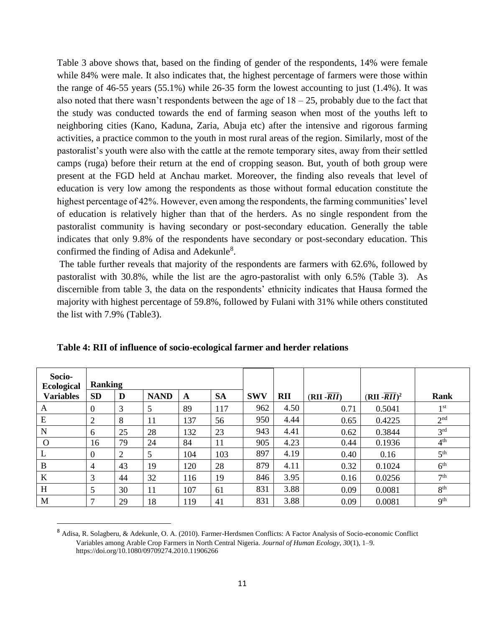Table 3 above shows that, based on the finding of gender of the respondents, 14% were female while 84% were male. It also indicates that, the highest percentage of farmers were those within the range of  $46-55$  years  $(55.1\%)$  while  $26-35$  form the lowest accounting to just  $(1.4\%)$ . It was also noted that there wasn't respondents between the age of  $18 - 25$ , probably due to the fact that the study was conducted towards the end of farming season when most of the youths left to neighboring cities (Kano, Kaduna, Zaria, Abuja etc) after the intensive and rigorous farming activities, a practice common to the youth in most rural areas of the region. Similarly, most of the pastoralist's youth were also with the cattle at the remote temporary sites, away from their settled camps (ruga) before their return at the end of cropping season. But, youth of both group were present at the FGD held at Anchau market. Moreover, the finding also reveals that level of education is very low among the respondents as those without formal education constitute the highest percentage of 42%. However, even among the respondents, the farming communities' level of education is relatively higher than that of the herders. As no single respondent from the pastoralist community is having secondary or post-secondary education. Generally the table indicates that only 9.8% of the respondents have secondary or post-secondary education. This confirmed the finding of Adisa and Adekunle<sup>8</sup>.

The table further reveals that majority of the respondents are farmers with 62.6%, followed by pastoralist with 30.8%, while the list are the agro-pastoralist with only 6.5% (Table 3). As discernible from table 3, the data on the respondents' ethnicity indicates that Hausa formed the majority with highest percentage of 59.8%, followed by Fulani with 31% while others constituted the list with 7.9% (Table3).

| Socio-<br><b>Ecological</b> | <b>Ranking</b>   |    |             |     |           |            |            |                          |                            |                 |
|-----------------------------|------------------|----|-------------|-----|-----------|------------|------------|--------------------------|----------------------------|-----------------|
| <b>Variables</b>            | <b>SD</b>        | D  | <b>NAND</b> | A   | <b>SA</b> | <b>SWV</b> | <b>RII</b> | $(RII - \overline{RII})$ | $(RII - \overline{RII})^2$ | Rank            |
| A                           | $\boldsymbol{0}$ | 3  | 5           | 89  | 117       | 962        | 4.50       | 0.71                     | 0.5041                     | 1 <sup>st</sup> |
| E                           | 2                | 8  | 11          | 137 | 56        | 950        | 4.44       | 0.65                     | 0.4225                     | 2 <sup>nd</sup> |
| N                           | 6                | 25 | 28          | 132 | 23        | 943        | 4.41       | 0.62                     | 0.3844                     | 3 <sup>rd</sup> |
| $\Omega$                    | 16               | 79 | 24          | 84  | 11        | 905        | 4.23       | 0.44                     | 0.1936                     | 4 <sup>th</sup> |
| L                           | $\theta$         | 2  | 5           | 104 | 103       | 897        | 4.19       | 0.40                     | 0.16                       | 5 <sup>th</sup> |
| B                           | $\overline{4}$   | 43 | 19          | 120 | 28        | 879        | 4.11       | 0.32                     | 0.1024                     | 6 <sup>th</sup> |
| $\bf K$                     | 3                | 44 | 32          | 116 | 19        | 846        | 3.95       | 0.16                     | 0.0256                     | 7 <sup>th</sup> |
| H                           | 5                | 30 | 11          | 107 | 61        | 831        | 3.88       | 0.09                     | 0.0081                     | 8 <sup>th</sup> |
| M                           | $\mathbf{r}$     | 29 | 18          | 119 | 41        | 831        | 3.88       | 0.09                     | 0.0081                     | <b>9th</b>      |

| Table 4: RII of influence of socio-ecological farmer and herder relations |  |
|---------------------------------------------------------------------------|--|
|---------------------------------------------------------------------------|--|

<sup>8</sup> Adisa, R. Solagberu, & Adekunle, O. A. (2010). Farmer-Herdsmen Conflicts: A Factor Analysis of Socio-economic Conflict Variables among Arable Crop Farmers in North Central Nigeria. *Journal of Human Ecology*, *30*(1), 1–9. https://doi.org/10.1080/09709274.2010.11906266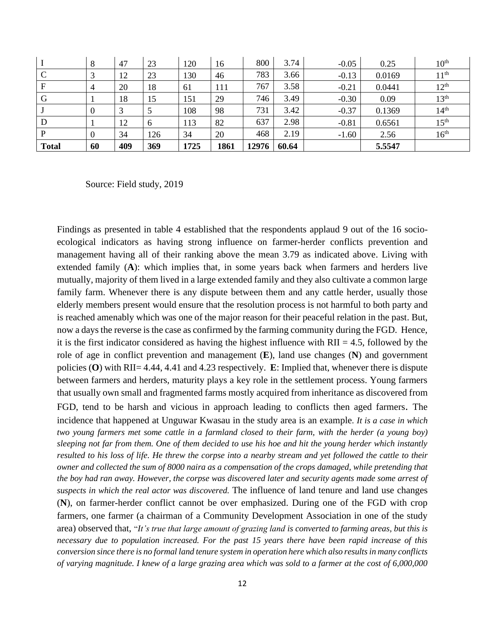| <b>Total</b> | 60 | 409 | 369      | 1725 | 1861 | 12976 | 60.64 |         | 5.5547 |                  |
|--------------|----|-----|----------|------|------|-------|-------|---------|--------|------------------|
| P            |    | 34  | 126      | 34   | 20   | 468   | 2.19  | $-1.60$ | 2.56   | 16 <sup>th</sup> |
| D            |    | 12  | $\sigma$ | 113  | 82   | 637   | 2.98  | $-0.81$ | 0.6561 | 15 <sup>th</sup> |
|              |    | 3   |          | 108  | 98   | 731   | 3.42  | $-0.37$ | 0.1369 | 14 <sup>th</sup> |
| G            |    | 18  | 15       | 151  | 29   | 746   | 3.49  | $-0.30$ | 0.09   | 13 <sup>th</sup> |
| F            | 4  | 20  | 18       | 61   | 111  | 767   | 3.58  | $-0.21$ | 0.0441 | 12 <sup>th</sup> |
| $\Gamma$     |    | 12  | 23       | 130  | 46   | 783   | 3.66  | $-0.13$ | 0.0169 | 11 <sup>th</sup> |
|              | 8  | 47  | 23       | 120  | 16   | 800   | 3.74  | $-0.05$ | 0.25   | 10 <sup>th</sup> |

Source: Field study, 2019

Findings as presented in table 4 established that the respondents applaud 9 out of the 16 socioecological indicators as having strong influence on farmer-herder conflicts prevention and management having all of their ranking above the mean 3.79 as indicated above. Living with extended family (**A**): which implies that, in some years back when farmers and herders live mutually, majority of them lived in a large extended family and they also cultivate a common large family farm. Whenever there is any dispute between them and any cattle herder, usually those elderly members present would ensure that the resolution process is not harmful to both party and is reached amenably which was one of the major reason for their peaceful relation in the past. But, now a days the reverse is the case as confirmed by the farming community during the FGD. Hence, it is the first indicator considered as having the highest influence with  $\text{RII} = 4.5$ , followed by the role of age in conflict prevention and management (**E**), land use changes (**N**) and government policies (**O**) with RII= 4.44, 4.41 and 4.23 respectively. **E**: Implied that, whenever there is dispute between farmers and herders, maturity plays a key role in the settlement process. Young farmers that usually own small and fragmented farms mostly acquired from inheritance as discovered from FGD, tend to be harsh and vicious in approach leading to conflicts then aged farmers. The incidence that happened at Unguwar Kwasau in the study area is an example*. It is a case in which two young farmers met some cattle in a farmland closed to their farm, with the herder (a young boy) sleeping not far from them. One of them decided to use his hoe and hit the young herder which instantly resulted to his loss of life. He threw the corpse into a nearby stream and yet followed the cattle to their owner and collected the sum of 8000 naira as a compensation of the crops damaged, while pretending that the boy had ran away. However, the corpse was discovered later and security agents made some arrest of suspects in which the real actor was discovered.* The influence of land tenure and land use changes (**N**), on farmer-herder conflict cannot be over emphasized. During one of the FGD with crop farmers, one farmer (a chairman of a Community Development Association in one of the study area) observed that, "*It's true that large amount of grazing land is converted to farming areas, but this is necessary due to population increased. For the past 15 years there have been rapid increase of this conversion since there is no formal land tenure system in operation here which also results in many conflicts of varying magnitude. I knew of a large grazing area which was sold to a farmer at the cost of 6,000,000*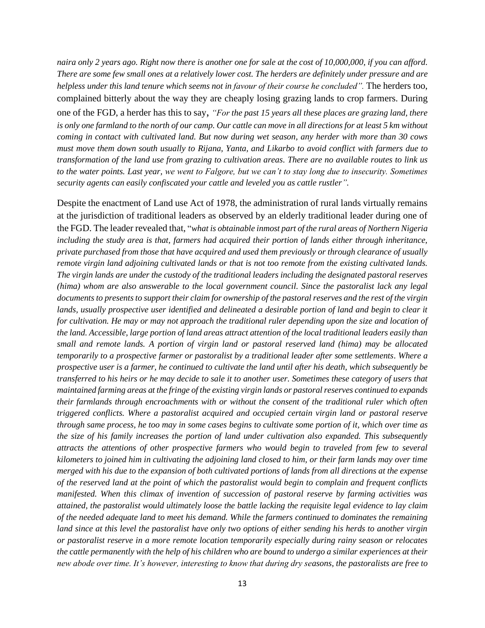*naira only 2 years ago. Right now there is another one for sale at the cost of 10,000,000, if you can afford. There are some few small ones at a relatively lower cost. The herders are definitely under pressure and are helpless under this land tenure which seems not in favour of their course he concluded".* The herders too, complained bitterly about the way they are cheaply losing grazing lands to crop farmers. During one of the FGD, a herder has this to say, *"For the past 15 years all these places are grazing land, there*  is only one farmland to the north of our camp. Our cattle can move in all directions for at least 5 km without *coming in contact with cultivated land. But now during wet season, any herder with more than 30 cows must move them down south usually to Rijana, Yanta, and Likarbo to avoid conflict with farmers due to transformation of the land use from grazing to cultivation areas. There are no available routes to link us to the water points. Last year, we went to Falgore, but we can't to stay long due to insecurity. Sometimes security agents can easily confiscated your cattle and leveled you as cattle rustler".*

Despite the enactment of Land use Act of 1978, the administration of rural lands virtually remains at the jurisdiction of traditional leaders as observed by an elderly traditional leader during one of the FGD. The leader revealed that, "*what is obtainable inmost part of the rural areas of Northern Nigeria including the study area is that, farmers had acquired their portion of lands either through inheritance, private purchased from those that have acquired and used them previously or through clearance of usually remote virgin land adjoining cultivated lands or that is not too remote from the existing cultivated lands. The virgin lands are under the custody of the traditional leaders including the designated pastoral reserves (hima) whom are also answerable to the local government council. Since the pastoralist lack any legal documents to presents to support their claim for ownership of the pastoral reserves and the rest of the virgin*  lands, usually prospective user identified and delineated a desirable portion of land and begin to clear it *for cultivation. He may or may not approach the traditional ruler depending upon the size and location of the land. Accessible, large portion of land areas attract attention of the local traditional leaders easily than small and remote lands. A portion of virgin land or pastoral reserved land (hima) may be allocated temporarily to a prospective farmer or pastoralist by a traditional leader after some settlements. Where a prospective user is a farmer, he continued to cultivate the land until after his death, which subsequently be transferred to his heirs or he may decide to sale it to another user. Sometimes these category of users that maintained farming areas at the fringe of the existing virgin lands or pastoral reserves continued to expands their farmlands through encroachments with or without the consent of the traditional ruler which often triggered conflicts. Where a pastoralist acquired and occupied certain virgin land or pastoral reserve through same process, he too may in some cases begins to cultivate some portion of it, which over time as the size of his family increases the portion of land under cultivation also expanded. This subsequently attracts the attentions of other prospective farmers who would begin to traveled from few to several kilometers to joined him in cultivating the adjoining land closed to him, or their farm lands may over time merged with his due to the expansion of both cultivated portions of lands from all directions at the expense of the reserved land at the point of which the pastoralist would begin to complain and frequent conflicts manifested. When this climax of invention of succession of pastoral reserve by farming activities was attained, the pastoralist would ultimately loose the battle lacking the requisite legal evidence to lay claim of the needed adequate land to meet his demand. While the farmers continued to dominates the remaining land since at this level the pastoralist have only two options of either sending his herds to another virgin or pastoralist reserve in a more remote location temporarily especially during rainy season or relocates the cattle permanently with the help of his children who are bound to undergo a similar experiences at their new abode over time. It's however, interesting to know that during dry seasons, the pastoralists are free to*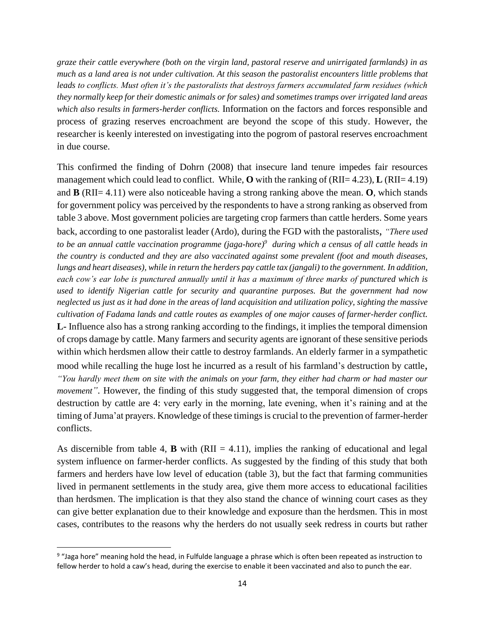*graze their cattle everywhere (both on the virgin land, pastoral reserve and unirrigated farmlands) in as much as a land area is not under cultivation. At this season the pastoralist encounters little problems that leads to conflicts. Must often it's the pastoralists that destroys farmers accumulated farm residues (which they normally keep for their domestic animals or for sales) and sometimes tramps over irrigated land areas which also results in farmers-herder conflicts.* Information on the factors and forces responsible and process of grazing reserves encroachment are beyond the scope of this study. However, the researcher is keenly interested on investigating into the pogrom of pastoral reserves encroachment in due course.

This confirmed the finding of Dohrn (2008) that insecure land tenure impedes fair resources management which could lead to conflict. While, **O** with the ranking of (RII= 4.23), **L** (RII= 4.19) and **B** (RII= 4.11) were also noticeable having a strong ranking above the mean. **O**, which stands for government policy was perceived by the respondents to have a strong ranking as observed from table 3 above. Most government policies are targeting crop farmers than cattle herders. Some years back, according to one pastoralist leader (Ardo), during the FGD with the pastoralists, *"There used to be an annual cattle vaccination programme (jaga-hore) 9 during which a census of all cattle heads in the country is conducted and they are also vaccinated against some prevalent (foot and mouth diseases, lungs and heart diseases), while in return the herders pay cattle tax (jangali) to the government. In addition, each cow's ear lobe is punctured annually until it has a maximum of three marks of punctured which is used to identify Nigerian cattle for security and quarantine purposes. But the government had now neglected us just as it had done in the areas of land acquisition and utilization policy, sighting the massive cultivation of Fadama lands and cattle routes as examples of one major causes of farmer-herder conflict.* **L-** Influence also has a strong ranking according to the findings, it implies the temporal dimension of crops damage by cattle. Many farmers and security agents are ignorant of these sensitive periods within which herdsmen allow their cattle to destroy farmlands. An elderly farmer in a sympathetic mood while recalling the huge lost he incurred as a result of his farmland's destruction by cattle, *"You hardly meet them on site with the animals on your farm, they either had charm or had master our movement"*. However, the finding of this study suggested that, the temporal dimension of crops destruction by cattle are 4: very early in the morning, late evening, when it's raining and at the timing of Juma'at prayers. Knowledge of these timings is crucial to the prevention of farmer-herder conflicts.

As discernible from table 4, **B** with  $(RII = 4.11)$ , implies the ranking of educational and legal system influence on farmer-herder conflicts. As suggested by the finding of this study that both farmers and herders have low level of education (table 3), but the fact that farming communities lived in permanent settlements in the study area, give them more access to educational facilities than herdsmen. The implication is that they also stand the chance of winning court cases as they can give better explanation due to their knowledge and exposure than the herdsmen. This in most cases, contributes to the reasons why the herders do not usually seek redress in courts but rather

<sup>&</sup>lt;sup>9</sup> "Jaga hore" meaning hold the head, in Fulfulde language a phrase which is often been repeated as instruction to fellow herder to hold a caw's head, during the exercise to enable it been vaccinated and also to punch the ear.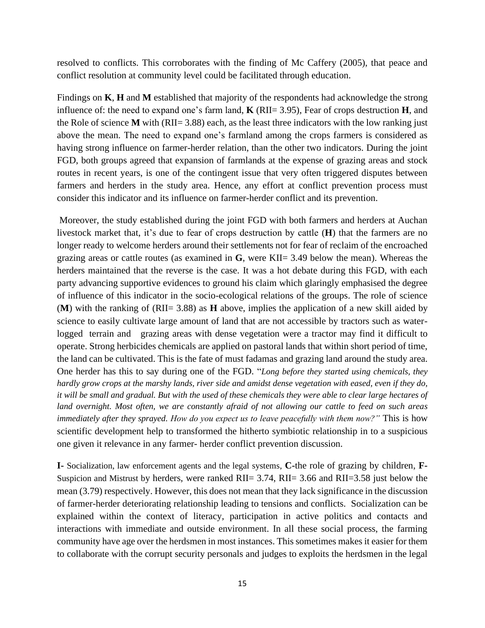resolved to conflicts. This corroborates with the finding of Mc Caffery (2005), that peace and conflict resolution at community level could be facilitated through education.

Findings on **K**, **H** and **M** established that majority of the respondents had acknowledge the strong influence of: the need to expand one's farm land, **K** (RII= 3.95), Fear of crops destruction **H**, and the Role of science **M** with (RII=  $3.88$ ) each, as the least three indicators with the low ranking just above the mean. The need to expand one's farmland among the crops farmers is considered as having strong influence on farmer-herder relation, than the other two indicators. During the joint FGD, both groups agreed that expansion of farmlands at the expense of grazing areas and stock routes in recent years, is one of the contingent issue that very often triggered disputes between farmers and herders in the study area. Hence, any effort at conflict prevention process must consider this indicator and its influence on farmer-herder conflict and its prevention.

Moreover, the study established during the joint FGD with both farmers and herders at Auchan livestock market that, it's due to fear of crops destruction by cattle (**H**) that the farmers are no longer ready to welcome herders around their settlements not for fear of reclaim of the encroached grazing areas or cattle routes (as examined in **G**, were KII= 3.49 below the mean). Whereas the herders maintained that the reverse is the case. It was a hot debate during this FGD, with each party advancing supportive evidences to ground his claim which glaringly emphasised the degree of influence of this indicator in the socio-ecological relations of the groups. The role of science (**M**) with the ranking of (RII= 3.88) as **H** above, implies the application of a new skill aided by science to easily cultivate large amount of land that are not accessible by tractors such as waterlogged terrain and grazing areas with dense vegetation were a tractor may find it difficult to operate. Strong herbicides chemicals are applied on pastoral lands that within short period of time, the land can be cultivated. This is the fate of must fadamas and grazing land around the study area. One herder has this to say during one of the FGD. "*Long before they started using chemicals, they hardly grow crops at the marshy lands, river side and amidst dense vegetation with eased, even if they do, it will be small and gradual. But with the used of these chemicals they were able to clear large hectares of land overnight. Most often, we are constantly afraid of not allowing our cattle to feed on such areas immediately after they sprayed. How do you expect us to leave peacefully with them now?"* This is how scientific development help to transformed the hitherto symbiotic relationship in to a suspicious one given it relevance in any farmer- herder conflict prevention discussion.

**I-** Socialization, law enforcement agents and the legal systems, **C-**the role of grazing by children, **F-**Suspicion and Mistrust by herders, were ranked RII= 3.74, RII= 3.66 and RII=3.58 just below the mean (3.79) respectively. However, this does not mean that they lack significance in the discussion of farmer-herder deteriorating relationship leading to tensions and conflicts. Socialization can be explained within the context of literacy, participation in active politics and contacts and interactions with immediate and outside environment. In all these social process, the farming community have age over the herdsmen in most instances. This sometimes makes it easier for them to collaborate with the corrupt security personals and judges to exploits the herdsmen in the legal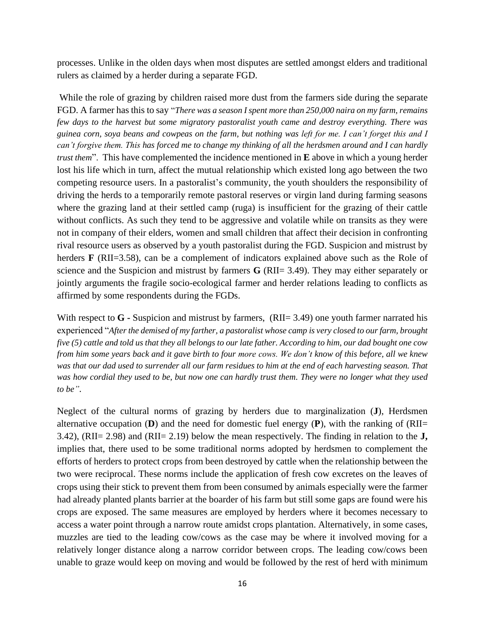processes. Unlike in the olden days when most disputes are settled amongst elders and traditional rulers as claimed by a herder during a separate FGD.

While the role of grazing by children raised more dust from the farmers side during the separate FGD. A farmer has this to say "*There was a season I spent more than 250,000 naira on my farm, remains few days to the harvest but some migratory pastoralist youth came and destroy everything. There was guinea corn, soya beans and cowpeas on the farm, but nothing was left for me. I can't forget this and I can't forgive them. This has forced me to change my thinking of all the herdsmen around and I can hardly trust them*". This have complemented the incidence mentioned in **E** above in which a young herder lost his life which in turn, affect the mutual relationship which existed long ago between the two competing resource users. In a pastoralist's community, the youth shoulders the responsibility of driving the herds to a temporarily remote pastoral reserves or virgin land during farming seasons where the grazing land at their settled camp (ruga) is insufficient for the grazing of their cattle without conflicts. As such they tend to be aggressive and volatile while on transits as they were not in company of their elders, women and small children that affect their decision in confronting rival resource users as observed by a youth pastoralist during the FGD. Suspicion and mistrust by herders **F** (RII=3.58), can be a complement of indicators explained above such as the Role of science and the Suspicion and mistrust by farmers **G** (RII= 3.49). They may either separately or jointly arguments the fragile socio-ecological farmer and herder relations leading to conflicts as affirmed by some respondents during the FGDs.

With respect to G **-** Suspicion and mistrust by farmers, (RII= 3.49) one youth farmer narrated his experienced "*After the demised of my farther, a pastoralist whose camp is very closed to our farm, brought five (5) cattle and told us that they all belongs to our late father. According to him, our dad bought one cow from him some years back and it gave birth to four more cows. We don't know of this before, all we knew was that our dad used to surrender all our farm residues to him at the end of each harvesting season. That was how cordial they used to be, but now one can hardly trust them. They were no longer what they used to be"*.

Neglect of the cultural norms of grazing by herders due to marginalization (**J**), Herdsmen alternative occupation  $(D)$  and the need for domestic fuel energy  $(P)$ , with the ranking of  $(RII=$ 3.42), (RII= 2.98) and (RII= 2.19) below the mean respectively. The finding in relation to the **J,** implies that, there used to be some traditional norms adopted by herdsmen to complement the efforts of herders to protect crops from been destroyed by cattle when the relationship between the two were reciprocal. These norms include the application of fresh cow excretes on the leaves of crops using their stick to prevent them from been consumed by animals especially were the farmer had already planted plants barrier at the boarder of his farm but still some gaps are found were his crops are exposed. The same measures are employed by herders where it becomes necessary to access a water point through a narrow route amidst crops plantation. Alternatively, in some cases, muzzles are tied to the leading cow/cows as the case may be where it involved moving for a relatively longer distance along a narrow corridor between crops. The leading cow/cows been unable to graze would keep on moving and would be followed by the rest of herd with minimum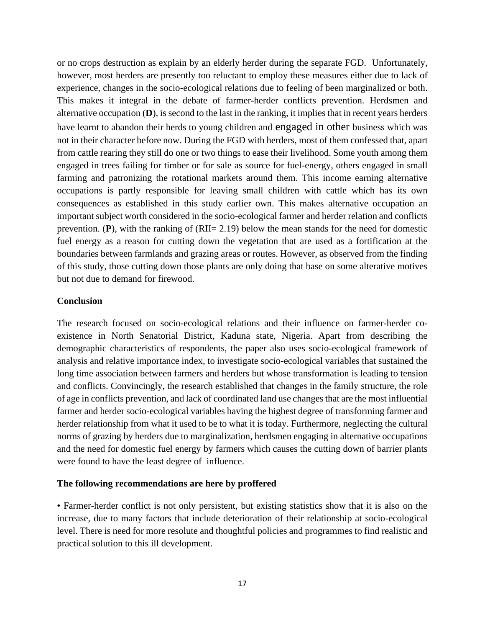or no crops destruction as explain by an elderly herder during the separate FGD. Unfortunately, however, most herders are presently too reluctant to employ these measures either due to lack of experience, changes in the socio-ecological relations due to feeling of been marginalized or both. This makes it integral in the debate of farmer-herder conflicts prevention. Herdsmen and alternative occupation (**D**), is second to the last in the ranking, it implies that in recent years herders have learnt to abandon their herds to young children and engaged in other business which was not in their character before now. During the FGD with herders, most of them confessed that, apart from cattle rearing they still do one or two things to ease their livelihood. Some youth among them engaged in trees failing for timber or for sale as source for fuel-energy, others engaged in small farming and patronizing the rotational markets around them. This income earning alternative occupations is partly responsible for leaving small children with cattle which has its own consequences as established in this study earlier own. This makes alternative occupation an important subject worth considered in the socio-ecological farmer and herder relation and conflicts prevention. (**P**), with the ranking of (RII= 2.19) below the mean stands for the need for domestic fuel energy as a reason for cutting down the vegetation that are used as a fortification at the boundaries between farmlands and grazing areas or routes. However, as observed from the finding of this study, those cutting down those plants are only doing that base on some alterative motives but not due to demand for firewood.

# **Conclusion**

The research focused on socio-ecological relations and their influence on farmer-herder coexistence in North Senatorial District, Kaduna state, Nigeria. Apart from describing the demographic characteristics of respondents, the paper also uses socio-ecological framework of analysis and relative importance index, to investigate socio-ecological variables that sustained the long time association between farmers and herders but whose transformation is leading to tension and conflicts. Convincingly, the research established that changes in the family structure, the role of age in conflicts prevention, and lack of coordinated land use changes that are the most influential farmer and herder socio-ecological variables having the highest degree of transforming farmer and herder relationship from what it used to be to what it is today. Furthermore, neglecting the cultural norms of grazing by herders due to marginalization, herdsmen engaging in alternative occupations and the need for domestic fuel energy by farmers which causes the cutting down of barrier plants were found to have the least degree of influence.

# **The following recommendations are here by proffered**

• Farmer-herder conflict is not only persistent, but existing statistics show that it is also on the increase, due to many factors that include deterioration of their relationship at socio-ecological level. There is need for more resolute and thoughtful policies and programmes to find realistic and practical solution to this ill development.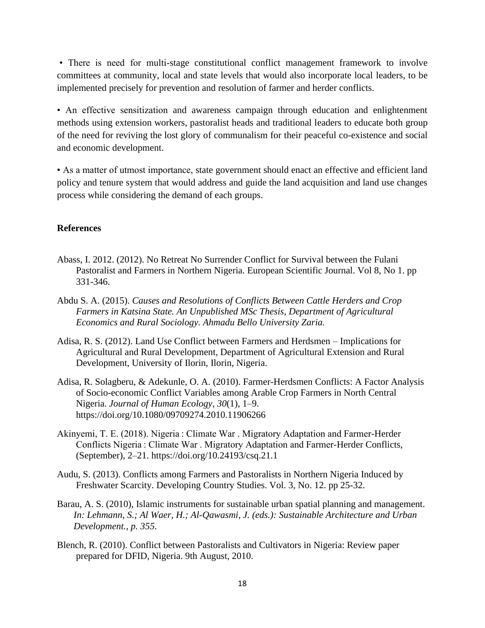• There is need for multi-stage constitutional conflict management framework to involve committees at community, local and state levels that would also incorporate local leaders, to be implemented precisely for prevention and resolution of farmer and herder conflicts.

• An effective sensitization and awareness campaign through education and enlightenment methods using extension workers, pastoralist heads and traditional leaders to educate both group of the need for reviving the lost glory of communalism for their peaceful co-existence and social and economic development.

• As a matter of utmost importance, state government should enact an effective and efficient land policy and tenure system that would address and guide the land acquisition and land use changes process while considering the demand of each groups.

# **References**

- Abass, I. 2012. (2012). No Retreat No Surrender Conflict for Survival between the Fulani Pastoralist and Farmers in Northern Nigeria. European Scientific Journal. Vol 8, No 1. pp 331-346.
- Abdu S. A. (2015). *Causes and Resolutions of Conflicts Between Cattle Herders and Crop Farmers in Katsina State. An Unpublished MSc Thesis, Department of Agricultural Economics and Rural Sociology. Ahmadu Bello University Zaria.*
- Adisa, R. S. (2012). Land Use Conflict between Farmers and Herdsmen Implications for Agricultural and Rural Development, Department of Agricultural Extension and Rural Development, University of Ilorin, Ilorin, Nigeria.
- Adisa, R. Solagberu, & Adekunle, O. A. (2010). Farmer-Herdsmen Conflicts: A Factor Analysis of Socio-economic Conflict Variables among Arable Crop Farmers in North Central Nigeria. *Journal of Human Ecology*, *30*(1), 1–9. https://doi.org/10.1080/09709274.2010.11906266
- Akinyemi, T. E. (2018). Nigeria : Climate War . Migratory Adaptation and Farmer-Herder Conflicts Nigeria : Climate War . Migratory Adaptation and Farmer-Herder Conflicts, (September), 2–21. https://doi.org/10.24193/csq.21.1
- Audu, S. (2013). Conflicts among Farmers and Pastoralists in Northern Nigeria Induced by Freshwater Scarcity. Developing Country Studies. Vol. 3, No. 12. pp 25-32.
- Barau, A. S. (2010), Islamic instruments for sustainable urban spatial planning and management. *In: Lehmann, S.; Al Waer, H.; Al-Qawasmi, J. (eds.): Sustainable Architecture and Urban Development., p. 355.*
- Blench, R. (2010). Conflict between Pastoralists and Cultivators in Nigeria: Review paper prepared for DFID, Nigeria. 9th August, 2010.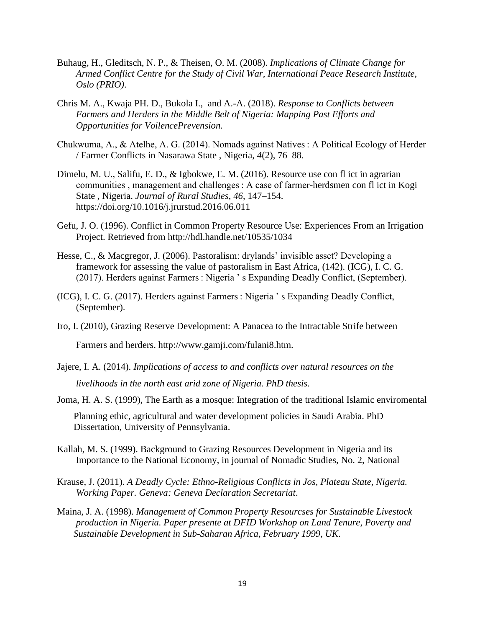- Buhaug, H., Gleditsch, N. P., & Theisen, O. M. (2008). *Implications of Climate Change for Armed Conflict Centre for the Study of Civil War, International Peace Research Institute, Oslo (PRIO)*.
- Chris M. A., Kwaja PH. D., Bukola I., and A.-A. (2018). *Response to Conflicts between Farmers and Herders in the Middle Belt of Nigeria: Mapping Past Efforts and Opportunities for VoilencePrevension.*
- Chukwuma, A., & Atelhe, A. G. (2014). Nomads against Natives : A Political Ecology of Herder / Farmer Conflicts in Nasarawa State , Nigeria, *4*(2), 76–88.
- Dimelu, M. U., Salifu, E. D., & Igbokwe, E. M. (2016). Resource use con fl ict in agrarian communities , management and challenges : A case of farmer-herdsmen con fl ict in Kogi State , Nigeria. *Journal of Rural Studies*, *46*, 147–154. https://doi.org/10.1016/j.jrurstud.2016.06.011
- Gefu, J. O. (1996). Conflict in Common Property Resource Use: Experiences From an Irrigation Project. Retrieved from http://hdl.handle.net/10535/1034
- Hesse, C., & Macgregor, J. (2006). Pastoralism: drylands' invisible asset? Developing a framework for assessing the value of pastoralism in East Africa, (142). (ICG), I. C. G. (2017). Herders against Farmers : Nigeria ' s Expanding Deadly Conflict, (September).
- (ICG), I. C. G. (2017). Herders against Farmers : Nigeria ' s Expanding Deadly Conflict, (September).
- Iro, I. (2010), Grazing Reserve Development: A Panacea to the Intractable Strife between

Farmers and herders. http://www.gamji.com/fulani8.htm.

- Jajere, I. A. (2014). *Implications of access to and conflicts over natural resources on the livelihoods in the north east arid zone of Nigeria. PhD thesis.*
- Joma, H. A. S. (1999), The Earth as a mosque: Integration of the traditional Islamic enviromental Planning ethic, agricultural and water development policies in Saudi Arabia. PhD Dissertation, University of Pennsylvania.
- Kallah, M. S. (1999). Background to Grazing Resources Development in Nigeria and its Importance to the National Economy, in journal of Nomadic Studies, No. 2, National
- Krause, J. (2011). *A Deadly Cycle: Ethno-Religious Conflicts in Jos, Plateau State, Nigeria. Working Paper. Geneva: Geneva Declaration Secretariat*.
- Maina, J. A. (1998). *Management of Common Property Resourcses for Sustainable Livestock production in Nigeria. Paper presente at DFID Workshop on Land Tenure, Poverty and Sustainable Development in Sub-Saharan Africa, February 1999, UK*.